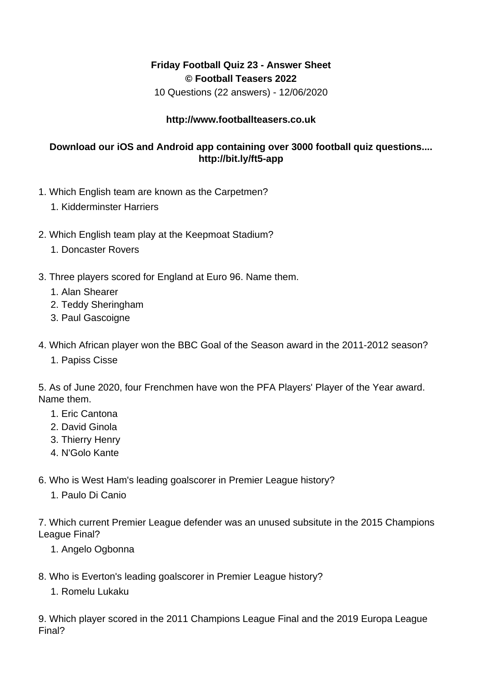## **Friday Football Quiz 23 - Answer Sheet © Football Teasers 2022**

10 Questions (22 answers) - 12/06/2020

## **http://www.footballteasers.co.uk**

## **Download our iOS and Android app containing over 3000 football quiz questions.... http://bit.ly/ft5-app**

- 1. Which English team are known as the Carpetmen?
	- 1. Kidderminster Harriers
- 2. Which English team play at the Keepmoat Stadium?
	- 1. Doncaster Rovers
- 3. Three players scored for England at Euro 96. Name them.
	- 1. Alan Shearer
	- 2. Teddy Sheringham
	- 3. Paul Gascoigne
- 4. Which African player won the BBC Goal of the Season award in the 2011-2012 season?
	- 1. Papiss Cisse

5. As of June 2020, four Frenchmen have won the PFA Players' Player of the Year award. Name them.

- 1. Eric Cantona
- 2. David Ginola
- 3. Thierry Henry
- 4. N'Golo Kante
- 6. Who is West Ham's leading goalscorer in Premier League history?
	- 1. Paulo Di Canio

7. Which current Premier League defender was an unused subsitute in the 2015 Champions League Final?

- 1. Angelo Ogbonna
- 8. Who is Everton's leading goalscorer in Premier League history?
	- 1. Romelu Lukaku

9. Which player scored in the 2011 Champions League Final and the 2019 Europa League Final?